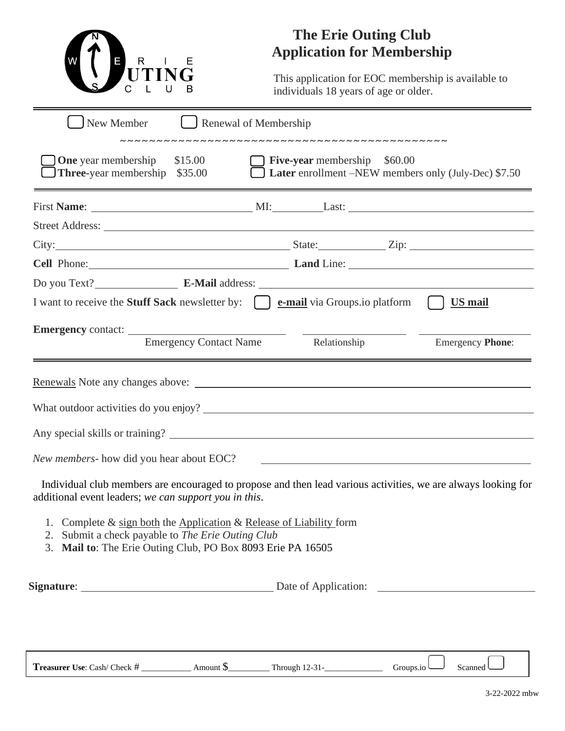| $R$ $\vdash$<br>E<br>UTING                                                                                                                                                                |                                                      | <b>The Erie Outing Club</b><br><b>Application for Membership</b><br>individuals 18 years of age or older. |  | This application for EOC membership is available to         |
|-------------------------------------------------------------------------------------------------------------------------------------------------------------------------------------------|------------------------------------------------------|-----------------------------------------------------------------------------------------------------------|--|-------------------------------------------------------------|
| New Member Renewal of Membership                                                                                                                                                          | としょうしょう しょうしょうしょうしょう しょうしょうしょう しょうしょうしょうしょう しょうしょうしょ |                                                                                                           |  |                                                             |
| <b>One</b> year membership \$15.00<br><b>Three-</b> year membership \$35.00                                                                                                               |                                                      | $\Box$ Five-year membership \$60.00                                                                       |  | <b>Later</b> enrollment –NEW members only (July-Dec) \$7.50 |
|                                                                                                                                                                                           |                                                      |                                                                                                           |  |                                                             |
|                                                                                                                                                                                           |                                                      |                                                                                                           |  |                                                             |
|                                                                                                                                                                                           |                                                      |                                                                                                           |  |                                                             |
| Cell Phone: Land Line: Land Line:                                                                                                                                                         |                                                      |                                                                                                           |  |                                                             |
|                                                                                                                                                                                           |                                                      |                                                                                                           |  |                                                             |
| I want to receive the Stuff Sack newsletter by: $\begin{bmatrix} \end{bmatrix}$ e-mail via Groups.io platform $\begin{bmatrix} \end{bmatrix}$ US mail                                     |                                                      |                                                                                                           |  |                                                             |
|                                                                                                                                                                                           | <b>Emergency Contact Name</b>                        | Relationship                                                                                              |  | <b>Emergency Phone:</b>                                     |
|                                                                                                                                                                                           |                                                      |                                                                                                           |  |                                                             |
|                                                                                                                                                                                           |                                                      |                                                                                                           |  |                                                             |
|                                                                                                                                                                                           |                                                      |                                                                                                           |  |                                                             |
| New members- how did you hear about EOC?                                                                                                                                                  |                                                      |                                                                                                           |  |                                                             |
| Individual club members are encouraged to propose and then lead various activities, we are always looking for<br>additional event leaders; we can support you in this.                    |                                                      |                                                                                                           |  |                                                             |
| 1. Complete $& sign both the Application & Release of Liability form$<br>2. Submit a check payable to The Erie Outing Club<br>3. Mail to: The Erie Outing Club, PO Box 8093 Erie PA 16505 |                                                      |                                                                                                           |  |                                                             |
|                                                                                                                                                                                           |                                                      |                                                                                                           |  |                                                             |
|                                                                                                                                                                                           |                                                      |                                                                                                           |  |                                                             |
| Treasurer Use: Cash/Check # ___________ Amount \$__________ Through 12-31-__________________ Groups.io                                                                                    |                                                      |                                                                                                           |  | Scanned                                                     |